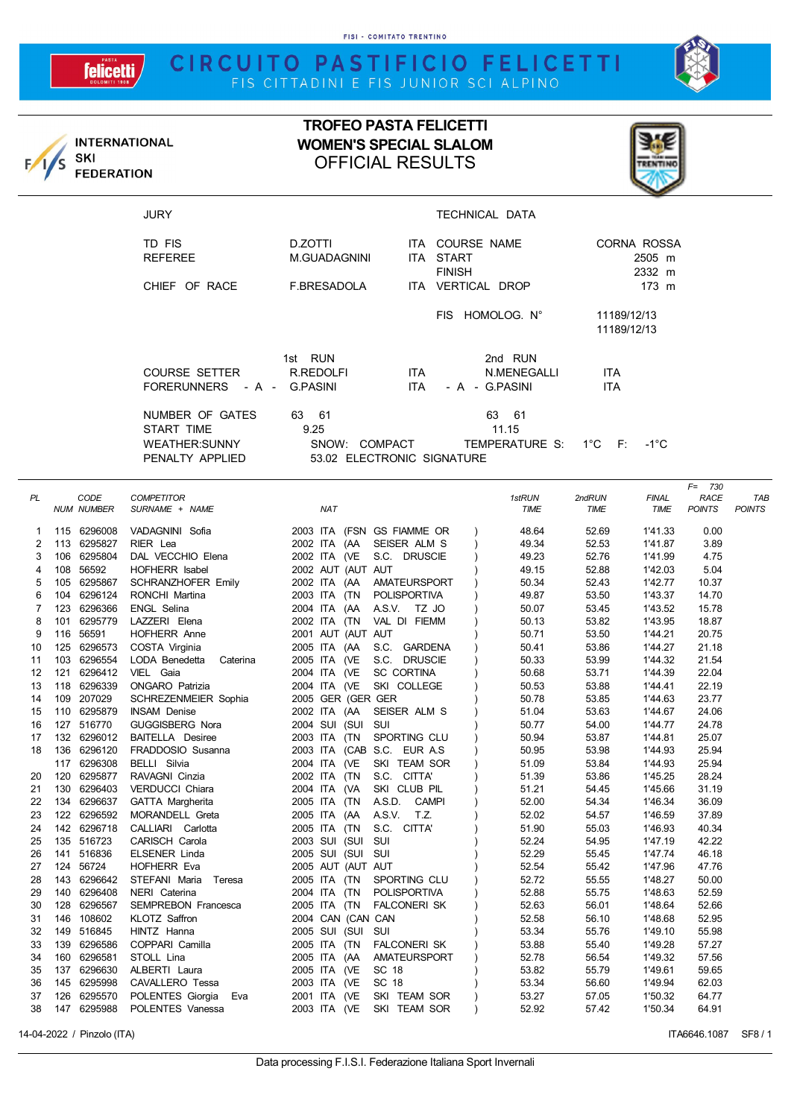FISI - COMITATO TRENTINO

## CIRCUITO PASTIFICIO FELICETTI

felicetti



|          | SKI                        | <b>INTERNATIONAL</b>                                              | <b>TROFEO PASTA FELICETTI</b><br><b>WOMEN'S SPECIAL SLALOM</b><br><b>OFFICIAL RESULTS</b> |                                     |                                          |                            |                       |                   |               |
|----------|----------------------------|-------------------------------------------------------------------|-------------------------------------------------------------------------------------------|-------------------------------------|------------------------------------------|----------------------------|-----------------------|-------------------|---------------|
|          |                            | <b>FEDERATION</b>                                                 |                                                                                           |                                     |                                          |                            |                       |                   |               |
|          |                            | <b>JURY</b>                                                       |                                                                                           |                                     | <b>TECHNICAL DATA</b>                    |                            |                       |                   |               |
|          |                            | TD FIS<br><b>REFEREE</b>                                          | D.ZOTTI<br>M.GUADAGNINI                                                                   | ITA START                           | ITA COURSE NAME                          |                            | CORNA ROSSA<br>2505 m |                   |               |
|          |                            | CHIEF OF RACE                                                     | F.BRESADOLA                                                                               | <b>FINISH</b><br>ITA VERTICAL DROP  |                                          | 2332 m<br>173 m            |                       |                   |               |
|          |                            |                                                                   |                                                                                           |                                     | FIS HOMOLOG. N°                          | 11189/12/13<br>11189/12/13 |                       |                   |               |
|          |                            | <b>COURSE SETTER</b><br>FORERUNNERS - A - G.PASINI                | 1st RUN<br>R.REDOLFI                                                                      | ITA.<br><b>ITA</b>                  | 2nd RUN<br>N.MENEGALLI<br>- A - G.PASINI | ITA.<br><b>ITA</b>         |                       |                   |               |
|          |                            | NUMBER OF GATES<br>START TIME<br>WEATHER:SUNNY<br>PENALTY APPLIED | 63 61<br>9.25<br>SNOW: COMPACT<br>53.02 ELECTRONIC SIGNATURE                              |                                     | 63 61<br>11.15<br>TEMPERATURE S:         | $1^{\circ}$ C<br>- F:      | $-1^{\circ}C$         |                   |               |
| PL       | CODE                       | <b>COMPETITOR</b>                                                 |                                                                                           |                                     | 1stRUN                                   | 2ndRUN                     | <b>FINAL</b>          | $F = 730$<br>RACE | <b>TAE</b>    |
|          | <b>NUM NUMBER</b>          | SURNAME + NAME                                                    | <b>NAT</b>                                                                                |                                     | <b>TIME</b>                              | TIME                       | <b>TIME</b>           | <b>POINTS</b>     | <b>POINTS</b> |
| 1        | 115 6296008                | VADAGNINI Sofia                                                   | 2003 ITA (FSN GS FIAMME OR                                                                |                                     | 48.64                                    | 52.69                      | 1'41.33               | 0.00              |               |
| 2<br>3   | 113 6295827<br>106 6295804 | RIER Lea<br>DAL VECCHIO Elena                                     | 2002 ITA (AA<br>2002 ITA (VE S.C. DRUSCIE                                                 | SEISER ALM S                        | 49.34<br>49.23                           | 52.53<br>52.76             | 1'41.87<br>1'41.99    | 3.89<br>4.75      |               |
| 4        | 108 56592                  | <b>HOFHERR Isabel</b>                                             | 2002 AUT (AUT AUT                                                                         |                                     | 49.15                                    | 52.88                      | 1'42.03               | 5.04              |               |
| 5        |                            | 105 6295867 SCHRANZHOFER Emily                                    | 2002 ITA (AA                                                                              | AMATEURSPORT                        | 50.34                                    | 52.43                      | 1'42.77               | 10.37             |               |
| 6        | 104 6296124                | RONCHI Martina                                                    | 2003 ITA (TN POLISPORTIVA                                                                 |                                     | 49.87                                    | 53.50                      | 1'43.37               | 14.70             |               |
| 7        | 123 6296366                | <b>ENGL Selina</b>                                                | 2004 ITA (AA                                                                              | A.S.V. TZ JO                        | 50.07                                    | 53.45                      | 1'43.52               | 15.78             |               |
| 8        | 101 6295779                | LAZZERI Elena                                                     | 2002 ITA (TN VAL DI FIEMM                                                                 |                                     | 50.13                                    | 53.82                      | 1'43.95               | 18.87             |               |
| 9        | 116 56591                  | HOFHERR Anne                                                      | 2001 AUT (AUT AUT                                                                         |                                     | 50.71                                    | 53.50                      | 1'44.21               | 20.75             |               |
| 10<br>11 | 103 6296554                | 125 6296573 COSTA Virginia<br>LODA Benedetta<br>Caterina          | 2005 ITA (AA<br>2005 ITA (VE S.C. DRUSCIE                                                 | S.C. GARDENA                        | 50.41<br>50.33                           | 53.86<br>53.99             | 1'44.27<br>1'44.32    | 21.18<br>21.54    |               |
| 12       |                            | 121 6296412 VIEL Gaia                                             | 2004 ITA (VE                                                                              | <b>SC CORTINA</b>                   | 50.68                                    | 53.71                      | 1'44.39               | 22.04             |               |
| 13       | 118 6296339                | <b>ONGARO</b> Patrizia                                            | 2004 ITA (VE                                                                              | SKI COLLEGE                         | 50.53                                    | 53.88                      | 1'44.41               | 22.19             |               |
| 14       | 109 207029                 | SCHREZENMEIER Sophia                                              | 2005 GER (GER GER                                                                         |                                     | 50.78                                    | 53.85                      | 1'44.63               | 23.77             |               |
| 15       | 110 6295879                | <b>INSAM Denise</b>                                               | 2002 ITA (AA SEISER ALM S                                                                 |                                     | 51.04                                    | 53.63                      | 1'44.67               | 24.06             |               |
| 16       | 127 516770                 | GUGGISBERG Nora                                                   | 2004 SUI (SUI SUI                                                                         |                                     | 50.77                                    | 54.00                      | 1'44.77               | 24.78             |               |
| 17       | 132 6296012                | <b>BAITELLA</b> Desiree                                           | 2003 ITA (TN<br>2003 ITA (CAB S.C. EUR A.S                                                | SPORTING CLU                        | 50.94                                    | 53.87                      | 1'44.81               | 25.07             |               |
| 18       | 136 6296120<br>117 6296308 | FRADDOSIO Susanna<br>BELLI Silvia                                 | 2004 ITA (VE                                                                              | SKI TEAM SOR                        | 50.95<br>51.09                           | 53.98<br>53.84             | 1'44.93<br>1'44.93    | 25.94<br>25.94    |               |
| 20       | 120 6295877                | RAVAGNI Cinzia                                                    | 2002 ITA (TN                                                                              | S.C. CITTA'                         | 51.39                                    | 53.86                      | 1'45.25               | 28.24             |               |
| 21       | 130 6296403                | <b>VERDUCCI Chiara</b>                                            | 2004 ITA (VA                                                                              | SKI CLUB PIL                        | 51.21                                    | 54.45                      | 1'45.66               | 31.19             |               |
| 22       | 134 6296637                | GATTA Margherita                                                  | A.S.D.<br>2005 ITA (TN                                                                    | CAMPI                               | 52.00                                    | 54.34                      | 1'46.34               | 36.09             |               |
| 23       | 122 6296592                | MORANDELL Greta                                                   | 2005 ITA (AA<br>A.S.V.                                                                    | T.Z.                                | 52.02                                    | 54.57                      | 1'46.59               | 37.89             |               |
| 24       | 142 6296718                | CALLIARI Carlotta                                                 | 2005 ITA (TN                                                                              | S.C. CITTA'                         | 51.90                                    | 55.03                      | 1'46.93               | 40.34             |               |
| 25<br>26 | 135 516723<br>141 516836   | CARISCH Carola<br>ELSENER Linda                                   | 2003 SUI (SUI SUI<br>2005 SUI (SUI SUI                                                    |                                     | 52.24<br>52.29                           | 54.95<br>55.45             | 1'47.19<br>1'47.74    | 42.22<br>46.18    |               |
| 27       | 124 56724                  | HOFHERR Eva                                                       | 2005 AUT (AUT AUT                                                                         |                                     | 52.54                                    | 55.42                      | 1'47.96               | 47.76             |               |
| 28       | 143 6296642                | STEFANI Maria Teresa                                              | 2005 ITA (TN                                                                              | SPORTING CLU                        | 52.72                                    | 55.55                      | 1'48.27               | 50.00             |               |
| 29       | 140 6296408                | NERI Caterina                                                     | 2004 ITA (TN                                                                              | POLISPORTIVA                        | 52.88                                    | 55.75                      | 1'48.63               | 52.59             |               |
| 30       | 128 6296567                | SEMPREBON Francesca                                               | 2005 ITA (TN                                                                              | <b>FALCONERI SK</b>                 | 52.63                                    | 56.01                      | 1'48.64               | 52.66             |               |
| 31       | 146 108602                 | KLOTZ Saffron                                                     | 2004 CAN (CAN CAN                                                                         |                                     | 52.58                                    | 56.10                      | 1'48.68               | 52.95             |               |
| 32       | 149 516845<br>6296586      | HINTZ Hanna                                                       | 2005 SUI (SUI SUI                                                                         |                                     | 53.34<br>53.88                           | 55.76                      | 1'49.10               | 55.98             |               |
| 33<br>34 | 139<br>160 6296581         | COPPARI Camilla<br>STOLL Lina                                     | 2005 ITA (TN<br>2005 ITA (AA                                                              | <b>FALCONERI SK</b><br>AMATEURSPORT | 52.78                                    | 55.40<br>56.54             | 1'49.28<br>1'49.32    | 57.27<br>57.56    |               |
| 35       | 137 6296630                | ALBERTI Laura                                                     | 2005 ITA (VE<br>SC 18                                                                     |                                     | 53.82                                    | 55.79                      | 1'49.61               | 59.65             |               |
| 36       | 145 6295998                | CAVALLERO Tessa                                                   | 2003 ITA (VE<br>SC 18                                                                     |                                     | 53.34                                    | 56.60                      | 1'49.94               | 62.03             |               |
| 37       | 126 6295570                | POLENTES Giorgia Eva                                              | 2001 ITA (VE SKI TEAM SOR                                                                 |                                     | 53.27                                    | 57.05                      | 1'50.32               | 64.77             |               |

14-04-2022 / Pinzolo (ITA) **ITA6646.1087** SF8 / 1

 126 6295570 POLENTES Giorgia Eva 2001 ITA (VE SKI TEAM SOR ) 53.27 57.05 1'50.32 64.77 147 6295988 POLENTES Vanessa 2003 ITA (VE SKI TEAM SOR ) 52.92 57.42 1'50.34 64.91